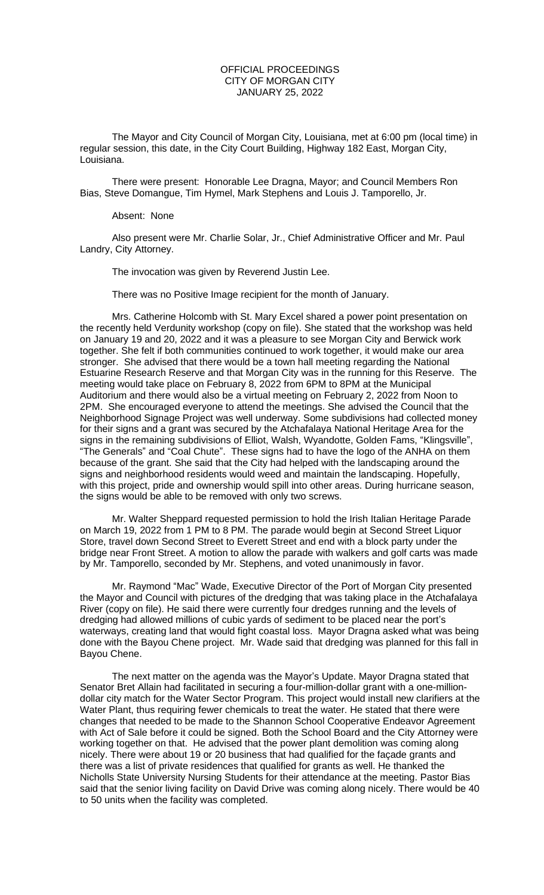## OFFICIAL PROCEEDINGS CITY OF MORGAN CITY JANUARY 25, 2022

The Mayor and City Council of Morgan City, Louisiana, met at 6:00 pm (local time) in regular session, this date, in the City Court Building, Highway 182 East, Morgan City, Louisiana.

There were present: Honorable Lee Dragna, Mayor; and Council Members Ron Bias, Steve Domangue, Tim Hymel, Mark Stephens and Louis J. Tamporello, Jr.

## Absent: None

Also present were Mr. Charlie Solar, Jr., Chief Administrative Officer and Mr. Paul Landry, City Attorney.

The invocation was given by Reverend Justin Lee.

There was no Positive Image recipient for the month of January.

Mrs. Catherine Holcomb with St. Mary Excel shared a power point presentation on the recently held Verdunity workshop (copy on file). She stated that the workshop was held on January 19 and 20, 2022 and it was a pleasure to see Morgan City and Berwick work together. She felt if both communities continued to work together, it would make our area stronger. She advised that there would be a town hall meeting regarding the National Estuarine Research Reserve and that Morgan City was in the running for this Reserve. The meeting would take place on February 8, 2022 from 6PM to 8PM at the Municipal Auditorium and there would also be a virtual meeting on February 2, 2022 from Noon to 2PM. She encouraged everyone to attend the meetings. She advised the Council that the Neighborhood Signage Project was well underway. Some subdivisions had collected money for their signs and a grant was secured by the Atchafalaya National Heritage Area for the signs in the remaining subdivisions of Elliot, Walsh, Wyandotte, Golden Fams, "Klingsville", "The Generals" and "Coal Chute". These signs had to have the logo of the ANHA on them because of the grant. She said that the City had helped with the landscaping around the signs and neighborhood residents would weed and maintain the landscaping. Hopefully, with this project, pride and ownership would spill into other areas. During hurricane season, the signs would be able to be removed with only two screws.

Mr. Walter Sheppard requested permission to hold the Irish Italian Heritage Parade on March 19, 2022 from 1 PM to 8 PM. The parade would begin at Second Street Liquor Store, travel down Second Street to Everett Street and end with a block party under the bridge near Front Street. A motion to allow the parade with walkers and golf carts was made by Mr. Tamporello, seconded by Mr. Stephens, and voted unanimously in favor.

Mr. Raymond "Mac" Wade, Executive Director of the Port of Morgan City presented the Mayor and Council with pictures of the dredging that was taking place in the Atchafalaya River (copy on file). He said there were currently four dredges running and the levels of dredging had allowed millions of cubic yards of sediment to be placed near the port's waterways, creating land that would fight coastal loss. Mayor Dragna asked what was being done with the Bayou Chene project. Mr. Wade said that dredging was planned for this fall in Bayou Chene.

The next matter on the agenda was the Mayor's Update. Mayor Dragna stated that Senator Bret Allain had facilitated in securing a four-million-dollar grant with a one-milliondollar city match for the Water Sector Program. This project would install new clarifiers at the Water Plant, thus requiring fewer chemicals to treat the water. He stated that there were changes that needed to be made to the Shannon School Cooperative Endeavor Agreement with Act of Sale before it could be signed. Both the School Board and the City Attorney were working together on that. He advised that the power plant demolition was coming along nicely. There were about 19 or 20 business that had qualified for the façade grants and there was a list of private residences that qualified for grants as well. He thanked the Nicholls State University Nursing Students for their attendance at the meeting. Pastor Bias said that the senior living facility on David Drive was coming along nicely. There would be 40 to 50 units when the facility was completed.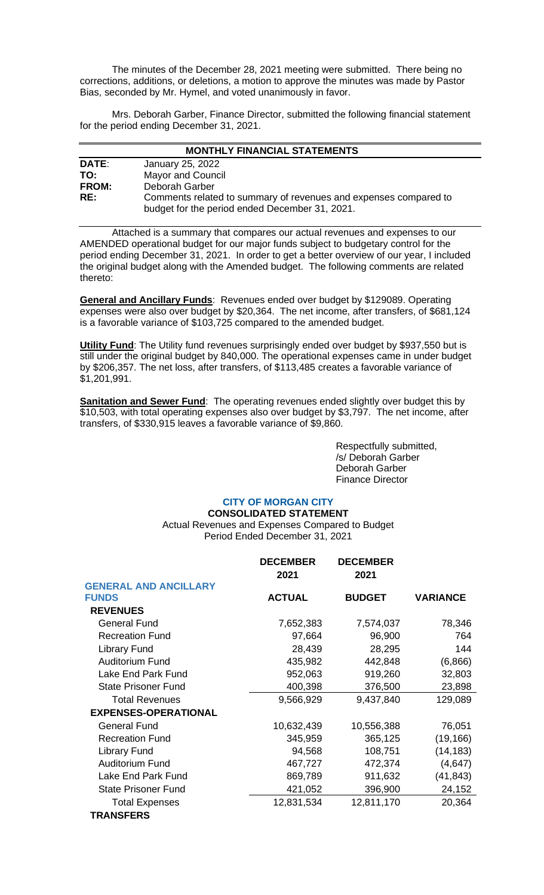The minutes of the December 28, 2021 meeting were submitted. There being no corrections, additions, or deletions, a motion to approve the minutes was made by Pastor Bias, seconded by Mr. Hymel, and voted unanimously in favor.

Mrs. Deborah Garber, Finance Director, submitted the following financial statement for the period ending December 31, 2021.

| <b>MONTHLY FINANCIAL STATEMENTS</b> |                                                                  |  |
|-------------------------------------|------------------------------------------------------------------|--|
| DATE:                               | January 25, 2022                                                 |  |
| TO:                                 | <b>Mayor and Council</b>                                         |  |
| <b>FROM:</b>                        | Deborah Garber                                                   |  |
| RE:                                 | Comments related to summary of revenues and expenses compared to |  |
|                                     | budget for the period ended December 31, 2021.                   |  |

Attached is a summary that compares our actual revenues and expenses to our AMENDED operational budget for our major funds subject to budgetary control for the period ending December 31, 2021. In order to get a better overview of our year, I included the original budget along with the Amended budget. The following comments are related thereto:

**General and Ancillary Funds**: Revenues ended over budget by \$129089. Operating expenses were also over budget by \$20,364. The net income, after transfers, of \$681,124 is a favorable variance of \$103,725 compared to the amended budget.

**Utility Fund**: The Utility fund revenues surprisingly ended over budget by \$937,550 but is still under the original budget by 840,000. The operational expenses came in under budget by \$206,357. The net loss, after transfers, of \$113,485 creates a favorable variance of \$1,201,991.

**Sanitation and Sewer Fund**: The operating revenues ended slightly over budget this by \$10,503, with total operating expenses also over budget by \$3,797. The net income, after transfers, of \$330,915 leaves a favorable variance of \$9,860.

> Respectfully submitted, /s/ Deborah Garber Deborah Garber Finance Director

# **CITY OF MORGAN CITY**

**CONSOLIDATED STATEMENT** Actual Revenues and Expenses Compared to Budget Period Ended December 31, 2021

|                              | <b>DECEMBER</b><br>2021 | <b>DECEMBER</b><br>2021 |                 |
|------------------------------|-------------------------|-------------------------|-----------------|
| <b>GENERAL AND ANCILLARY</b> |                         |                         |                 |
| <b>FUNDS</b>                 | <b>ACTUAL</b>           | <b>BUDGET</b>           | <b>VARIANCE</b> |
| <b>REVENUES</b>              |                         |                         |                 |
| <b>General Fund</b>          | 7,652,383               | 7,574,037               | 78,346          |
| <b>Recreation Fund</b>       | 97,664                  | 96,900                  | 764             |
| <b>Library Fund</b>          | 28,439                  | 28,295                  | 144             |
| <b>Auditorium Fund</b>       | 435,982                 | 442,848                 | (6,866)         |
| Lake End Park Fund           | 952,063                 | 919,260                 | 32,803          |
| <b>State Prisoner Fund</b>   | 400,398                 | 376,500                 | 23,898          |
| <b>Total Revenues</b>        | 9,566,929               | 9,437,840               | 129,089         |
| <b>EXPENSES-OPERATIONAL</b>  |                         |                         |                 |
| <b>General Fund</b>          | 10,632,439              | 10,556,388              | 76,051          |
| <b>Recreation Fund</b>       | 345,959                 | 365,125                 | (19, 166)       |
| <b>Library Fund</b>          | 94,568                  | 108,751                 | (14, 183)       |
| <b>Auditorium Fund</b>       | 467,727                 | 472,374                 | (4,647)         |
| Lake End Park Fund           | 869,789                 | 911,632                 | (41, 843)       |
| <b>State Prisoner Fund</b>   | 421,052                 | 396,900                 | 24,152          |
| <b>Total Expenses</b>        | 12,831,534              | 12,811,170              | 20,364          |
| <b>TRANSFERS</b>             |                         |                         |                 |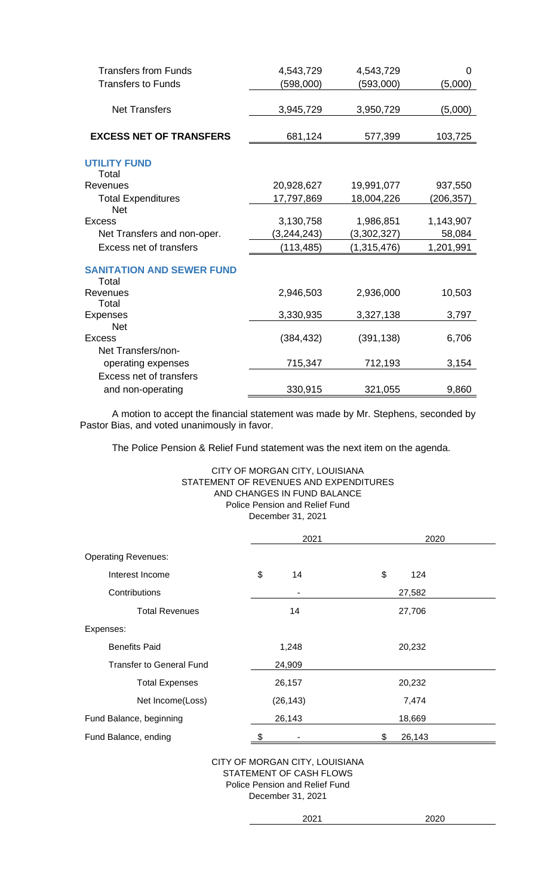| <b>Transfers from Funds</b>      | 4,543,729   | 4,543,729   | 0         |
|----------------------------------|-------------|-------------|-----------|
| <b>Transfers to Funds</b>        | (598,000)   | (593,000)   | (5,000)   |
|                                  |             |             |           |
| <b>Net Transfers</b>             | 3,945,729   | 3,950,729   | (5,000)   |
|                                  |             |             |           |
| <b>EXCESS NET OF TRANSFERS</b>   | 681,124     | 577,399     | 103,725   |
|                                  |             |             |           |
| <b>UTILITY FUND</b><br>Total     |             |             |           |
| Revenues                         | 20,928,627  | 19,991,077  | 937,550   |
| <b>Total Expenditures</b>        | 17,797,869  | 18,004,226  | (206,357) |
| <b>Net</b>                       |             |             |           |
| Excess                           | 3,130,758   | 1,986,851   | 1,143,907 |
| Net Transfers and non-oper.      | (3,244,243) | (3,302,327) | 58,084    |
| <b>Excess net of transfers</b>   | (113, 485)  | (1,315,476) | 1,201,991 |
| <b>SANITATION AND SEWER FUND</b> |             |             |           |
| Total                            |             |             |           |
| Revenues                         | 2,946,503   | 2,936,000   | 10,503    |
| Total                            |             |             |           |
| Expenses                         | 3,330,935   | 3,327,138   | 3,797     |
| <b>Net</b>                       |             |             |           |
| Excess                           | (384, 432)  | (391, 138)  | 6,706     |
| Net Transfers/non-               |             |             |           |
| operating expenses               | 715,347     | 712,193     | 3,154     |
| <b>Excess net of transfers</b>   |             |             |           |
| and non-operating                | 330,915     | 321,055     | 9,860     |

A motion to accept the financial statement was made by Mr. Stephens, seconded by Pastor Bias, and voted unanimously in favor.

The Police Pension & Relief Fund statement was the next item on the agenda.

# CITY OF MORGAN CITY, LOUISIANA STATEMENT OF REVENUES AND EXPENDITURES AND CHANGES IN FUND BALANCE Police Pension and Relief Fund December 31, 2021

|                                 | 2021      | 2020         |
|---------------------------------|-----------|--------------|
| <b>Operating Revenues:</b>      |           |              |
| Interest Income                 | \$<br>14  | \$<br>124    |
| Contributions                   |           | 27,582       |
| <b>Total Revenues</b>           | 14        | 27,706       |
| Expenses:                       |           |              |
| <b>Benefits Paid</b>            | 1,248     | 20,232       |
| <b>Transfer to General Fund</b> | 24,909    |              |
| <b>Total Expenses</b>           | 26,157    | 20,232       |
| Net Income(Loss)                | (26, 143) | 7,474        |
| Fund Balance, beginning         | 26,143    | 18,669       |
| Fund Balance, ending            | \$        | \$<br>26,143 |

CITY OF MORGAN CITY, LOUISIANA STATEMENT OF CASH FLOWS Police Pension and Relief Fund December 31, 2021

| í<br>í |
|--------|
|        |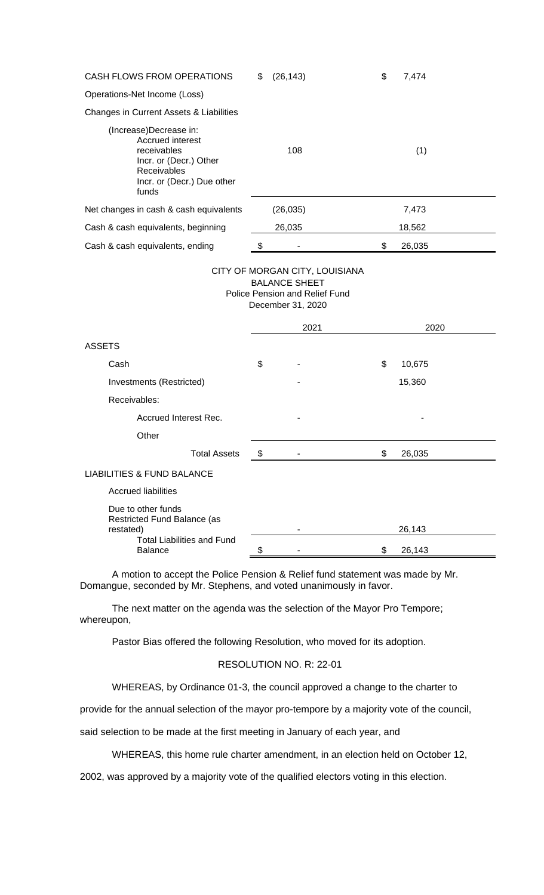| <b>CASH FLOWS FROM OPERATIONS</b>                                                                                                         |  | (26, 143) | \$<br>7,474  |
|-------------------------------------------------------------------------------------------------------------------------------------------|--|-----------|--------------|
| Operations-Net Income (Loss)                                                                                                              |  |           |              |
| Changes in Current Assets & Liabilities                                                                                                   |  |           |              |
| (Increase)Decrease in:<br>Accrued interest<br>receivables<br>Incr. or (Decr.) Other<br>Receivables<br>Incr. or (Decr.) Due other<br>funds |  | 108       | (1)          |
| Net changes in cash & cash equivalents                                                                                                    |  | (26, 035) | 7,473        |
| Cash & cash equivalents, beginning                                                                                                        |  | 26,035    | 18,562       |
| Cash & cash equivalents, ending                                                                                                           |  |           | \$<br>26,035 |
|                                                                                                                                           |  |           |              |

#### CITY OF MORGAN CITY, LOUISIANA BALANCE SHEET Police Pension and Relief Fund December 31, 2020

|                                                                |     | 2021 | 2020         |  |
|----------------------------------------------------------------|-----|------|--------------|--|
| <b>ASSETS</b>                                                  |     |      |              |  |
| Cash                                                           | \$  |      | \$<br>10,675 |  |
| Investments (Restricted)                                       |     |      | 15,360       |  |
| Receivables:                                                   |     |      |              |  |
| Accrued Interest Rec.                                          |     |      |              |  |
| Other                                                          |     |      |              |  |
| <b>Total Assets</b>                                            | -\$ |      | \$<br>26,035 |  |
| <b>LIABILITIES &amp; FUND BALANCE</b>                          |     |      |              |  |
| <b>Accrued liabilities</b>                                     |     |      |              |  |
| Due to other funds<br>Restricted Fund Balance (as<br>restated) |     |      | 26,143       |  |
| <b>Total Liabilities and Fund</b><br><b>Balance</b>            | \$  |      | \$<br>26,143 |  |

A motion to accept the Police Pension & Relief fund statement was made by Mr. Domangue, seconded by Mr. Stephens, and voted unanimously in favor.

The next matter on the agenda was the selection of the Mayor Pro Tempore; whereupon,

Pastor Bias offered the following Resolution, who moved for its adoption.

# RESOLUTION NO. R: 22-01

WHEREAS, by Ordinance 01-3, the council approved a change to the charter to

provide for the annual selection of the mayor pro-tempore by a majority vote of the council,

said selection to be made at the first meeting in January of each year, and

WHEREAS, this home rule charter amendment, in an election held on October 12,

2002, was approved by a majority vote of the qualified electors voting in this election.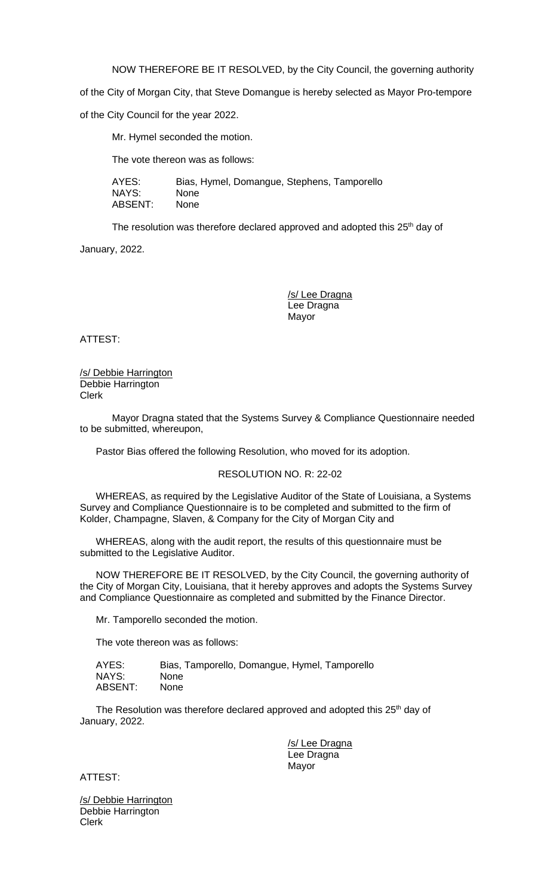NOW THEREFORE BE IT RESOLVED, by the City Council, the governing authority

of the City of Morgan City, that Steve Domangue is hereby selected as Mayor Pro-tempore

of the City Council for the year 2022.

Mr. Hymel seconded the motion.

The vote thereon was as follows:

AYES: Bias, Hymel, Domangue, Stephens, Tamporello NAYS: None ABSENT: None

The resolution was therefore declared approved and adopted this 25<sup>th</sup> day of

January, 2022.

/s/ Lee Dragna Lee Dragna Mayor

ATTEST:

/s/ Debbie Harrington Debbie Harrington Clerk

Mayor Dragna stated that the Systems Survey & Compliance Questionnaire needed to be submitted, whereupon,

Pastor Bias offered the following Resolution, who moved for its adoption.

#### RESOLUTION NO. R: 22-02

WHEREAS, as required by the Legislative Auditor of the State of Louisiana, a Systems Survey and Compliance Questionnaire is to be completed and submitted to the firm of Kolder, Champagne, Slaven, & Company for the City of Morgan City and

WHEREAS, along with the audit report, the results of this questionnaire must be submitted to the Legislative Auditor.

NOW THEREFORE BE IT RESOLVED, by the City Council, the governing authority of the City of Morgan City, Louisiana, that it hereby approves and adopts the Systems Survey and Compliance Questionnaire as completed and submitted by the Finance Director.

Mr. Tamporello seconded the motion.

The vote thereon was as follows:

| AYES:   | Bias, Tamporello, Domangue, Hymel, Tamporello |
|---------|-----------------------------------------------|
| NAYS:   | <b>None</b>                                   |
| ABSENT: | <b>None</b>                                   |

The Resolution was therefore declared approved and adopted this 25<sup>th</sup> day of January, 2022.

> /s/ Lee Dragna Lee Dragna Mayor

ATTEST:

/s/ Debbie Harrington Debbie Harrington Clerk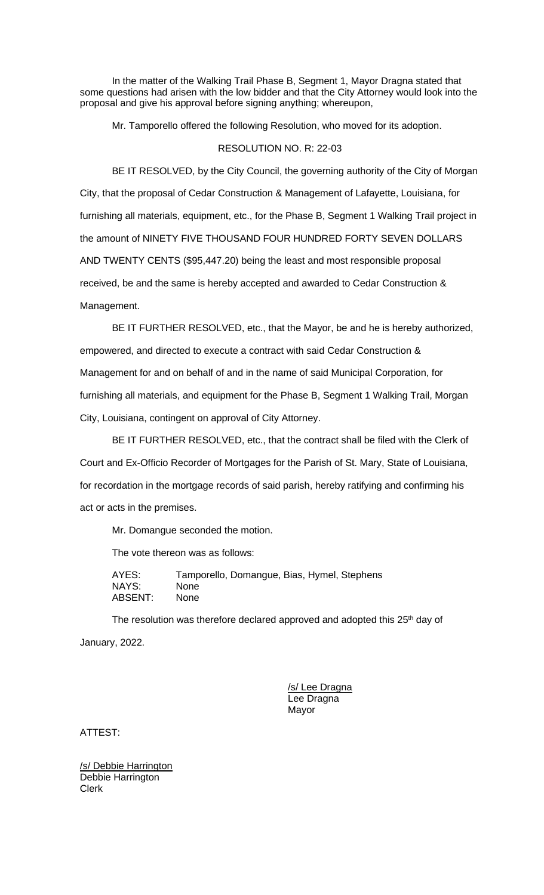In the matter of the Walking Trail Phase B, Segment 1, Mayor Dragna stated that some questions had arisen with the low bidder and that the City Attorney would look into the proposal and give his approval before signing anything; whereupon,

Mr. Tamporello offered the following Resolution, who moved for its adoption.

# RESOLUTION NO. R: 22-03

BE IT RESOLVED, by the City Council, the governing authority of the City of Morgan City, that the proposal of Cedar Construction & Management of Lafayette, Louisiana, for furnishing all materials, equipment, etc., for the Phase B, Segment 1 Walking Trail project in the amount of NINETY FIVE THOUSAND FOUR HUNDRED FORTY SEVEN DOLLARS AND TWENTY CENTS (\$95,447.20) being the least and most responsible proposal received, be and the same is hereby accepted and awarded to Cedar Construction & Management.

BE IT FURTHER RESOLVED, etc., that the Mayor, be and he is hereby authorized, empowered, and directed to execute a contract with said Cedar Construction & Management for and on behalf of and in the name of said Municipal Corporation, for furnishing all materials, and equipment for the Phase B, Segment 1 Walking Trail, Morgan City, Louisiana, contingent on approval of City Attorney.

BE IT FURTHER RESOLVED, etc., that the contract shall be filed with the Clerk of Court and Ex-Officio Recorder of Mortgages for the Parish of St. Mary, State of Louisiana, for recordation in the mortgage records of said parish, hereby ratifying and confirming his act or acts in the premises.

Mr. Domangue seconded the motion.

The vote thereon was as follows:

AYES: Tamporello, Domangue, Bias, Hymel, Stephens NAYS: None ABSENT: None

The resolution was therefore declared approved and adopted this  $25<sup>th</sup>$  day of January, 2022.

> /s/ Lee Dragna Lee Dragna Mayor

ATTEST:

/s/ Debbie Harrington Debbie Harrington Clerk